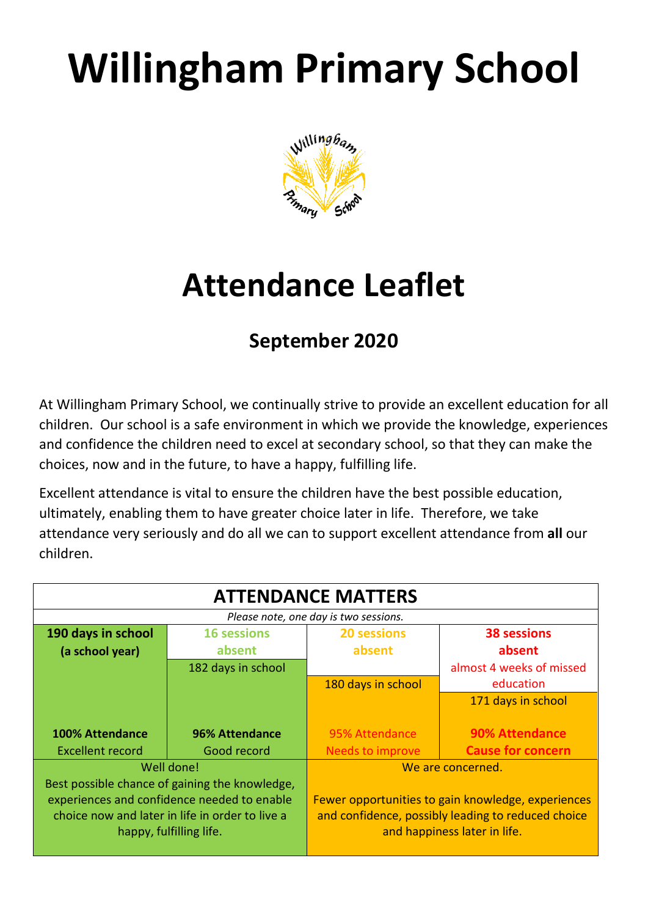# **Willingham Primary School**



## **Attendance Leaflet**

### **September 2020**

At Willingham Primary School, we continually strive to provide an excellent education for all children. Our school is a safe environment in which we provide the knowledge, experiences and confidence the children need to excel at secondary school, so that they can make the choices, now and in the future, to have a happy, fulfilling life.

Excellent attendance is vital to ensure the children have the best possible education, ultimately, enabling them to have greater choice later in life. Therefore, we take attendance very seriously and do all we can to support excellent attendance from **all** our children.

| <b>ATTENDANCE MATTERS</b>                                                                                                                                                   |                              |                                                                                                                                          |                                       |
|-----------------------------------------------------------------------------------------------------------------------------------------------------------------------------|------------------------------|------------------------------------------------------------------------------------------------------------------------------------------|---------------------------------------|
| Please note, one day is two sessions.                                                                                                                                       |                              |                                                                                                                                          |                                       |
| 190 days in school<br>(a school year)                                                                                                                                       | <b>16 sessions</b><br>absent | <b>20 sessions</b><br>absent                                                                                                             | <b>38 sessions</b><br>absent          |
|                                                                                                                                                                             | 182 days in school           | 180 days in school                                                                                                                       | almost 4 weeks of missed<br>education |
|                                                                                                                                                                             |                              |                                                                                                                                          | 171 days in school                    |
| <b>100% Attendance</b>                                                                                                                                                      | <b>96% Attendance</b>        | 95% Attendance                                                                                                                           | <b>90% Attendance</b>                 |
| <b>Excellent record</b>                                                                                                                                                     | Good record                  | <b>Needs to improve</b>                                                                                                                  | <b>Cause for concern</b>              |
| Well done!                                                                                                                                                                  |                              | We are concerned.                                                                                                                        |                                       |
| Best possible chance of gaining the knowledge,<br>experiences and confidence needed to enable<br>choice now and later in life in order to live a<br>happy, fulfilling life. |                              | Fewer opportunities to gain knowledge, experiences<br>and confidence, possibly leading to reduced choice<br>and happiness later in life. |                                       |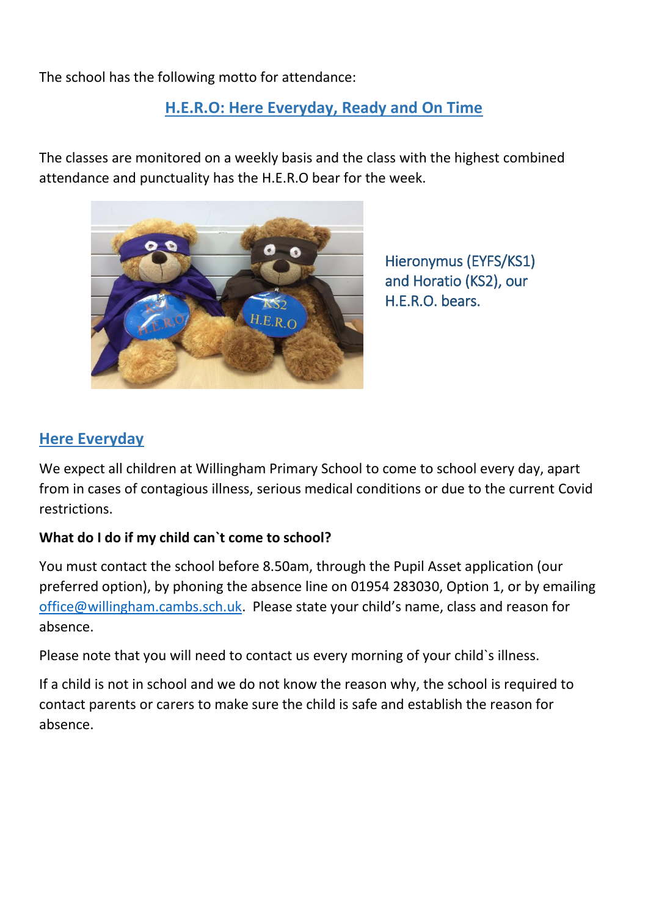The school has the following motto for attendance:

#### **H.E.R.O: Here Everyday, Ready and On Time**

The classes are monitored on a weekly basis and the class with the highest combined attendance and punctuality has the H.E.R.O bear for the week.



Hieronymus (EYFS/KS1) and Horatio (KS2), our H.E.R.O. bears.

#### **Here Everyday**

We expect all children at Willingham Primary School to come to school every day, apart from in cases of contagious illness, serious medical conditions or due to the current Covid restrictions.

#### **What do I do if my child can`t come to school?**

You must contact the school before 8.50am, through the Pupil Asset application (our preferred option), by phoning the absence line on 01954 283030, Option 1, or by emailing [office@willingham.cambs.sch.uk.](mailto:office@willingham.cambs.sch.uk) Please state your child's name, class and reason for absence.

Please note that you will need to contact us every morning of your child's illness.

If a child is not in school and we do not know the reason why, the school is required to contact parents or carers to make sure the child is safe and establish the reason for absence.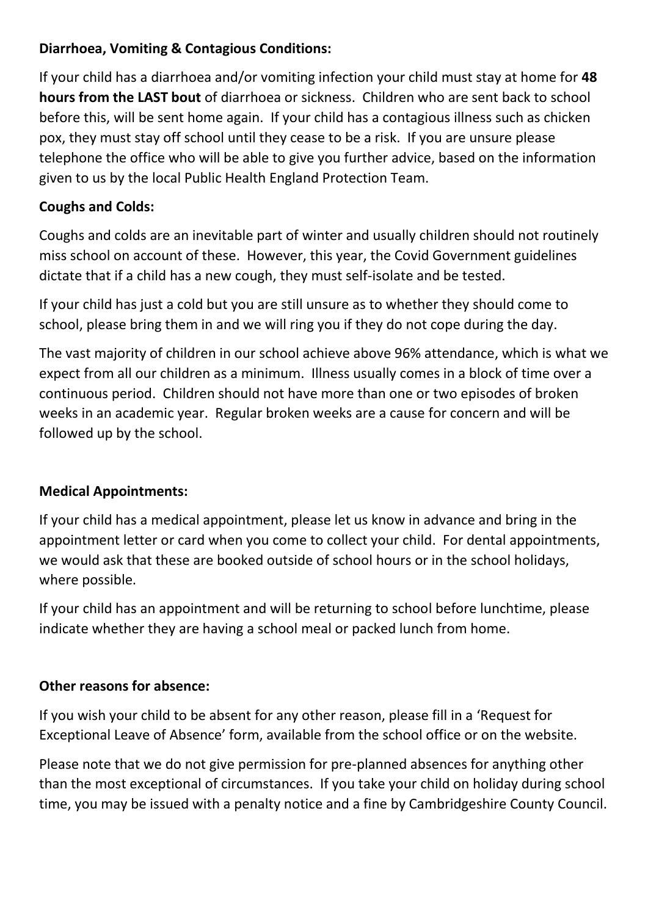#### **Diarrhoea, Vomiting & Contagious Conditions:**

If your child has a diarrhoea and/or vomiting infection your child must stay at home for **48 hours from the LAST bout** of diarrhoea or sickness. Children who are sent back to school before this, will be sent home again. If your child has a contagious illness such as chicken pox, they must stay off school until they cease to be a risk. If you are unsure please telephone the office who will be able to give you further advice, based on the information given to us by the local Public Health England Protection Team.

#### **Coughs and Colds:**

Coughs and colds are an inevitable part of winter and usually children should not routinely miss school on account of these. However, this year, the Covid Government guidelines dictate that if a child has a new cough, they must self-isolate and be tested.

If your child has just a cold but you are still unsure as to whether they should come to school, please bring them in and we will ring you if they do not cope during the day.

The vast majority of children in our school achieve above 96% attendance, which is what we expect from all our children as a minimum. Illness usually comes in a block of time over a continuous period. Children should not have more than one or two episodes of broken weeks in an academic year. Regular broken weeks are a cause for concern and will be followed up by the school.

#### **Medical Appointments:**

If your child has a medical appointment, please let us know in advance and bring in the appointment letter or card when you come to collect your child. For dental appointments, we would ask that these are booked outside of school hours or in the school holidays, where possible.

If your child has an appointment and will be returning to school before lunchtime, please indicate whether they are having a school meal or packed lunch from home.

#### **Other reasons for absence:**

If you wish your child to be absent for any other reason, please fill in a 'Request for Exceptional Leave of Absence' form, available from the school office or on the website.

Please note that we do not give permission for pre-planned absences for anything other than the most exceptional of circumstances. If you take your child on holiday during school time, you may be issued with a penalty notice and a fine by Cambridgeshire County Council.